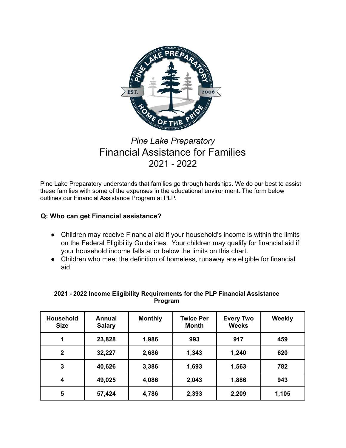

# *Pine Lake Preparatory* Financial Assistance for Families 2021 - 2022

Pine Lake Preparatory understands that families go through hardships. We do our best to assist these families with some of the expenses in the educational environment. The form below outlines our Financial Assistance Program at PLP.

### **Q: Who can get Financial assistance?**

- Children may receive Financial aid if your household's income is within the limits on the Federal Eligibility Guidelines. Your children may qualify for financial aid if your household income falls at or below the limits on this chart.
- Children who meet the definition of homeless, runaway are eligible for financial aid.

| <b>Household</b><br><b>Size</b> | <b>Annual</b><br><b>Salary</b> | <b>Monthly</b> | <b>Twice Per</b><br><b>Month</b> | <b>Every Two</b><br><b>Weeks</b> | <b>Weekly</b> |
|---------------------------------|--------------------------------|----------------|----------------------------------|----------------------------------|---------------|
| 1                               | 23,828                         | 1,986          | 993                              | 917                              | 459           |
| $\overline{2}$                  | 32,227                         | 2,686          | 1,343                            | 1,240                            | 620           |
| 3                               | 40,626                         | 3,386          | 1,693                            | 1,563                            | 782           |
| 4                               | 49,025                         | 4,086          | 2,043                            | 1,886                            | 943           |
| 5                               | 57,424                         | 4,786          | 2,393                            | 2,209                            | 1,105         |

#### **2021 - 2022 Income Eligibility Requirements for the PLP Financial Assistance Program**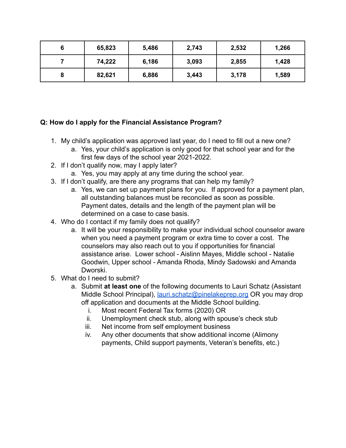|   | 65,823 | 5,486 | 2,743 | 2,532 | 1,266 |
|---|--------|-------|-------|-------|-------|
|   | 74,222 | 6,186 | 3,093 | 2,855 | 1,428 |
| о | 82,621 | 6,886 | 3,443 | 3,178 | 1,589 |

### **Q: How do I apply for the Financial Assistance Program?**

- 1. My child's application was approved last year, do I need to fill out a new one?
	- a. Yes, your child's application is only good for that school year and for the first few days of the school year 2021-2022.
- 2. If I don't qualify now, may I apply later?
	- a. Yes, you may apply at any time during the school year.
- 3. If I don't qualify, are there any programs that can help my family?
	- a. Yes, we can set up payment plans for you. If approved for a payment plan, all outstanding balances must be reconciled as soon as possible. Payment dates, details and the length of the payment plan will be determined on a case to case basis.
- 4. Who do I contact if my family does not qualify?
	- a. It will be your responsibility to make your individual school counselor aware when you need a payment program or extra time to cover a cost. The counselors may also reach out to you if opportunities for financial assistance arise. Lower school - Aislinn Mayes, Middle school - Natalie Goodwin, Upper school - Amanda Rhoda, Mindy Sadowski and Amanda Dworski.
- 5. What do I need to submit?
	- a. Submit **at least one** of the following documents to Lauri Schatz (Assistant Middle School Principal), <u>[lauri.schatz@pinelakeprep.org](mailto:lauri.schatz@pinelakeprep.org)</u> OR you may drop off application and documents at the Middle School building.
		- i. Most recent Federal Tax forms (2020) OR
		- ii. Unemployment check stub, along with spouse's check stub
		- iii. Net income from self employment business
		- iv. Any other documents that show additional income (Alimony payments, Child support payments, Veteran's benefits, etc.)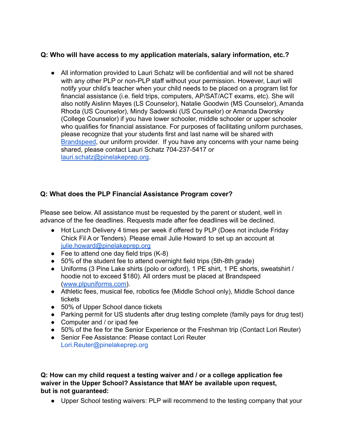### **Q: Who will have access to my application materials, salary information, etc.?**

● All information provided to Lauri Schatz will be confidential and will not be shared with any other PLP or non-PLP staff without your permission. However, Lauri will notify your child's teacher when your child needs to be placed on a program list for financial assistance (i.e. field trips, computers, AP/SAT/ACT exams, etc). She will also notify Aislinn Mayes (LS Counselor), Natalie Goodwin (MS Counselor), Amanda Rhoda (US Counselor), Mindy Sadowski (US Counselor) or Amanda Dworsky (College Counselor) if you have lower schooler, middle schooler or upper schooler who qualifies for financial assistance. For purposes of facilitating uniform purchases, please recognize that your students first and last name will be shared with [Brandspeed,](http://www.plpuniforms.com) our uniform provider. If you have any concerns with your name being shared, please contact Lauri Schatz 704-237-5417 or [lauri.schatz@pinelakeprep.org](mailto:lauri.schatz@pinelakeprep.org).

## **Q: What does the PLP Financial Assistance Program cover?**

Please see below. All assistance must be requested by the parent or student, well in advance of the fee deadlines. Requests made after fee deadlines will be declined.

- Hot Lunch Delivery 4 times per week if offered by PLP (Does not include Friday Chick Fil A or Tenders). Please email Julie Howard to set up an account at [julie.howard@pinelakeprep.org](mailto:julie.howard@pinelakeprep.org)
- $\bullet$  Fee to attend one day field trips (K-8)
- 50% of the student fee to attend overnight field trips (5th-8th grade)
- Uniforms (3 Pine Lake shirts (polo or oxford), 1 PE shirt, 1 PE shorts, sweatshirt / hoodie not to exceed \$180). All orders must be placed at Brandspeed ([www.plpuniforms.com\)](http://www.plpuniforms.com).
- Athletic fees, musical fee, robotics fee (Middle School only), Middle School dance tickets
- 50% of Upper School dance tickets
- Parking permit for US students after drug testing complete (family pays for drug test)
- Computer and / or ipad fee
- 50% of the fee for the Senior Experience or the Freshman trip (Contact Lori Reuter)
- Senior Fee Assistance: Please contact Lori Reuter Lori.Reuter@pinelakeprep.org

**Q: How can my child request a testing waiver and / or a college application fee waiver in the Upper School? Assistance that MAY be available upon request, but is not guaranteed:**

**●** Upper School testing waivers: PLP will recommend to the testing company that your